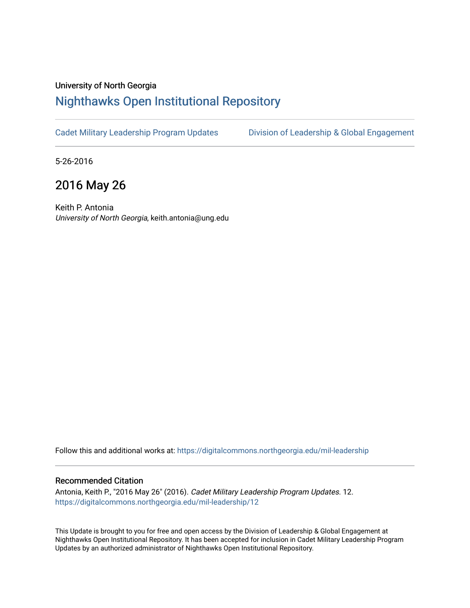#### University of North Georgia

## [Nighthawks Open Institutional Repository](https://digitalcommons.northgeorgia.edu/)

[Cadet Military Leadership Program Updates](https://digitalcommons.northgeorgia.edu/mil-leadership) [Division of Leadership & Global Engagement](https://digitalcommons.northgeorgia.edu/leadership) 

5-26-2016

## 2016 May 26

Keith P. Antonia University of North Georgia, keith.antonia@ung.edu

Follow this and additional works at: [https://digitalcommons.northgeorgia.edu/mil-leadership](https://digitalcommons.northgeorgia.edu/mil-leadership?utm_source=digitalcommons.northgeorgia.edu%2Fmil-leadership%2F12&utm_medium=PDF&utm_campaign=PDFCoverPages) 

#### Recommended Citation

Antonia, Keith P., "2016 May 26" (2016). Cadet Military Leadership Program Updates. 12. [https://digitalcommons.northgeorgia.edu/mil-leadership/12](https://digitalcommons.northgeorgia.edu/mil-leadership/12?utm_source=digitalcommons.northgeorgia.edu%2Fmil-leadership%2F12&utm_medium=PDF&utm_campaign=PDFCoverPages)

This Update is brought to you for free and open access by the Division of Leadership & Global Engagement at Nighthawks Open Institutional Repository. It has been accepted for inclusion in Cadet Military Leadership Program Updates by an authorized administrator of Nighthawks Open Institutional Repository.